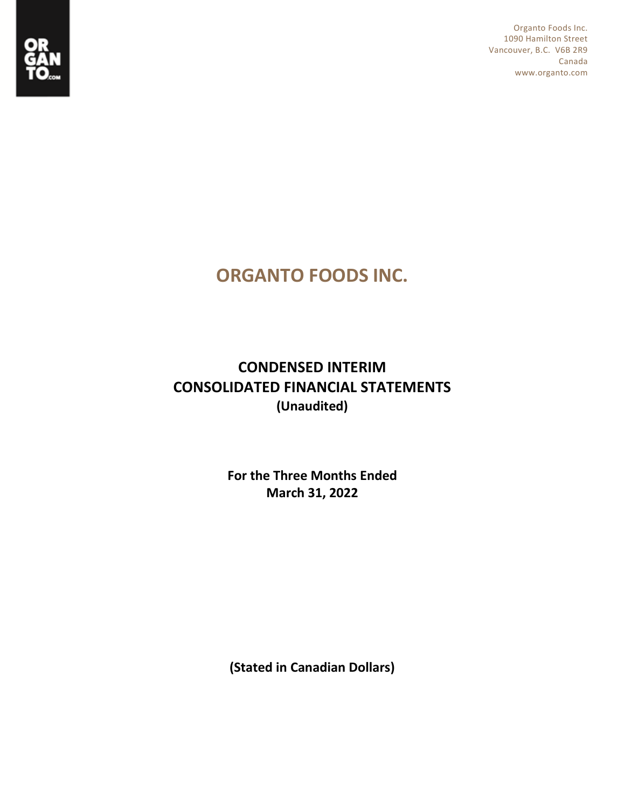

Organto Foods Inc. 1090 Hamilton Street Vancouver, B.C. V6B 2R9 Canada www.organto.com

# **ORGANTO FOODS INC.**

## **CONDENSED INTERIM CONSOLIDATED FINANCIAL STATEMENTS (Unaudited)**

**For the Three Months Ended March 31, 2022**

**(Stated in Canadian Dollars)**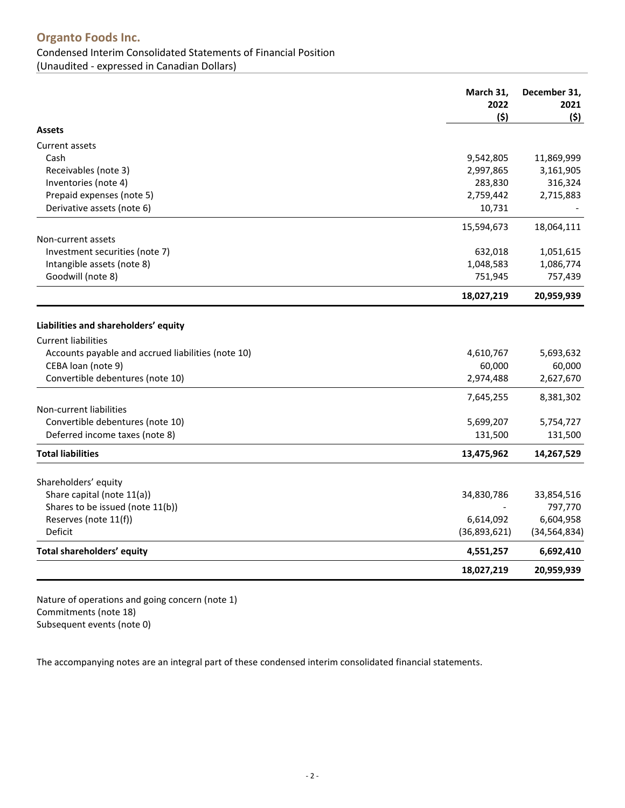## **Organto Foods Inc.** Condensed Interim Consolidated Statements of Financial Position (Unaudited - expressed in Canadian Dollars)

<span id="page-1-0"></span>**March 31, 2022 (\$) December 31, 2021 (\$) Assets** Current assets Cash 9,542,805 11,869,999 Receivables [\(note 3\)](#page-6-0) 2,997,865 3,161,905 Inventories [\(note 4\)](#page-6-1) 283,830 316,324 Prepaid expenses [\(note 5\)](#page-6-2) 2,759,442 2,715,883 Derivative assets (note [6\)](#page-6-3) and the set of the set of the set of the set of the set of the set of the set of the set of the set of the set of the set of the set of the set of the set of the set of the set of the set of the 15,594,673 18,064,111 Non-current assets Investment securities [\(note 7\)](#page-6-3) and the securities (note 7) and the securities (note 7) and the securities (note 7) and the securities (note 7) and the securities (note 7) and the securities (note 7) and the securities (not Intangible assets [\(note 8\)](#page-6-3) 1,086,774 1,048,583 1,086,774 Goodwill [\(note 8\)](#page-6-3) 751,945 757,439 **18,027,219 20,959,939 Liabilities and shareholders' equity** Current liabilities Accounts payable and accrued liabilities (note 10)  $4,610,767$  5,693,632 CEBA loan (not[e 9\)](#page-8-0) 60,000 60,000 60,000 60,000 60,000 60,000 60,000 60,000 60,000 60,000 60,000 60,000 60,000 60,000 60,000 60,000 60,000 60,000 60,000 60,000 60,000 60,000 60,000 60,000 60,000 60,000 60,000 60,000 60,000 Convertible debentures [\(note 10\)](#page-8-1) 2,974,488 2,627,670 7,645,255 8,381,302 Non-current liabilities Convertible debentures (note [10\)](#page-8-2) 5,699,207 5,754,727 Deferred income taxes [\(note 8\)](#page-6-3) 131,500 131,500 **Total liabilities 13,475,962 14,267,529** Shareholders' equity Share capital [\(note 11\(](#page-10-0)a)) 34,830,786 33,854,516 Shares to be issued (note  $11(b)$ )  $\overline{297,770}$ Reserves [\(note 11\(f\)\)](#page-14-0) 6,604,958 Deficit (36,893,621) (34,564,834) **Total shareholders' equity 4,551,257 6,692,410 18,027,219 20,959,939**

Nature of operations and going concern [\(note 1\)](#page-5-0) Commitments [\(note 18\)](#page-17-0) Subsequent events [\(note 0\)](#page-17-1)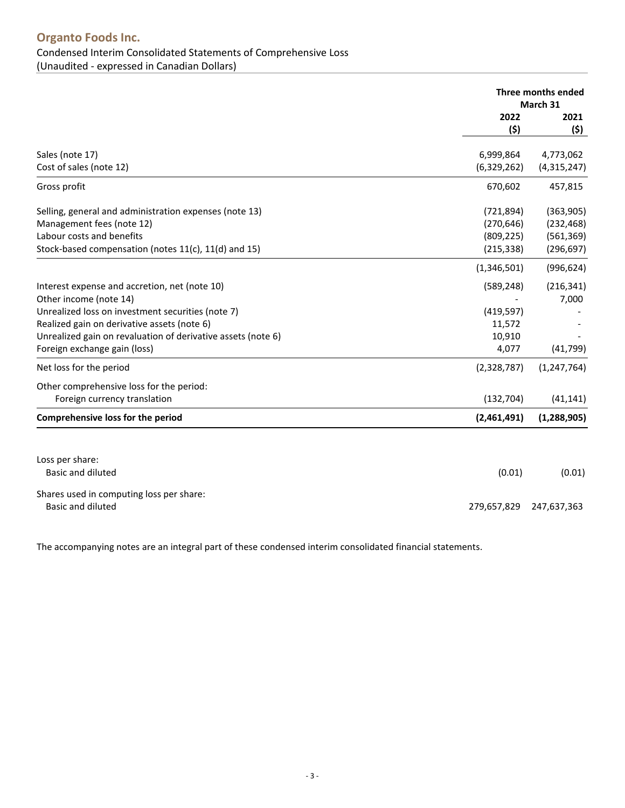<span id="page-2-0"></span>

|                                                              | Three months ended<br>March 31 |               |
|--------------------------------------------------------------|--------------------------------|---------------|
|                                                              | 2022                           | 2021          |
|                                                              | (5)                            | (\$)          |
| Sales (note 17)                                              | 6,999,864                      | 4,773,062     |
| Cost of sales (note 12)                                      | (6,329,262)                    | (4,315,247)   |
| Gross profit                                                 | 670,602                        | 457,815       |
| Selling, general and administration expenses (note 13)       | (721, 894)                     | (363,905)     |
| Management fees (note 12)                                    | (270, 646)                     | (232, 468)    |
| Labour costs and benefits                                    | (809, 225)                     | (561, 369)    |
| Stock-based compensation (notes 11(c), 11(d) and 15)         | (215, 338)                     | (296, 697)    |
|                                                              | (1,346,501)                    | (996, 624)    |
| Interest expense and accretion, net (note 10)                | (589, 248)                     | (216, 341)    |
| Other income (note 14)                                       |                                | 7,000         |
| Unrealized loss on investment securities (note 7)            | (419, 597)                     |               |
| Realized gain on derivative assets (note 6)                  | 11,572                         |               |
| Unrealized gain on revaluation of derivative assets (note 6) | 10,910                         |               |
| Foreign exchange gain (loss)                                 | 4,077                          | (41, 799)     |
| Net loss for the period                                      | (2,328,787)                    | (1, 247, 764) |
| Other comprehensive loss for the period:                     |                                |               |
| Foreign currency translation                                 | (132, 704)                     | (41, 141)     |
| Comprehensive loss for the period                            | (2,461,491)                    | (1, 288, 905) |
|                                                              |                                |               |
| Loss per share:                                              |                                |               |
| <b>Basic and diluted</b>                                     | (0.01)                         | (0.01)        |
| Shares used in computing loss per share:                     |                                |               |
| Basic and diluted                                            | 279,657,829                    | 247,637,363   |
|                                                              |                                |               |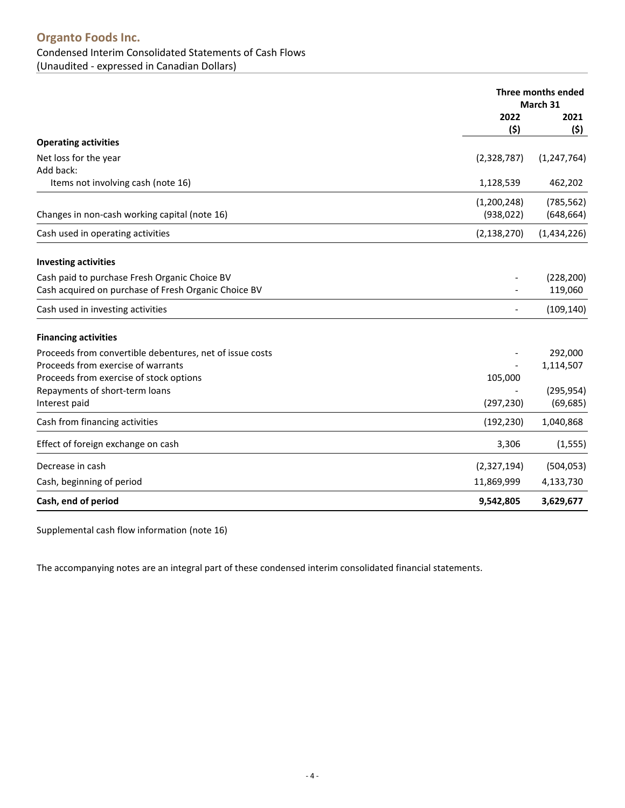## **Organto Foods Inc.** Condensed Interim Consolidated Statements of Cash Flows (Unaudited - expressed in Canadian Dollars)

<span id="page-3-0"></span>

|                                                          | Three months ended<br>March 31 |               |
|----------------------------------------------------------|--------------------------------|---------------|
|                                                          | 2022                           | 2021          |
|                                                          | (\$)                           | (\$)          |
| <b>Operating activities</b>                              |                                |               |
| Net loss for the year                                    | (2,328,787)                    | (1, 247, 764) |
| Add back:                                                |                                |               |
| Items not involving cash (note 16)                       | 1,128,539                      | 462,202       |
|                                                          | (1,200,248)                    | (785, 562)    |
| Changes in non-cash working capital (note 16)            | (938, 022)                     | (648, 664)    |
| Cash used in operating activities                        | (2, 138, 270)                  | (1,434,226)   |
| <b>Investing activities</b>                              |                                |               |
| Cash paid to purchase Fresh Organic Choice BV            |                                | (228, 200)    |
| Cash acquired on purchase of Fresh Organic Choice BV     |                                | 119,060       |
| Cash used in investing activities                        |                                | (109, 140)    |
| <b>Financing activities</b>                              |                                |               |
| Proceeds from convertible debentures, net of issue costs |                                | 292,000       |
| Proceeds from exercise of warrants                       |                                | 1,114,507     |
| Proceeds from exercise of stock options                  | 105,000                        |               |
| Repayments of short-term loans                           |                                | (295, 954)    |
| Interest paid                                            | (297, 230)                     | (69, 685)     |
| Cash from financing activities                           | (192, 230)                     | 1,040,868     |
| Effect of foreign exchange on cash                       | 3,306                          | (1, 555)      |
| Decrease in cash                                         | (2,327,194)                    | (504, 053)    |
| Cash, beginning of period                                | 11,869,999                     | 4,133,730     |
| Cash, end of period                                      | 9,542,805                      | 3,629,677     |

Supplemental cash flow information [\(note 16\)](#page-16-0)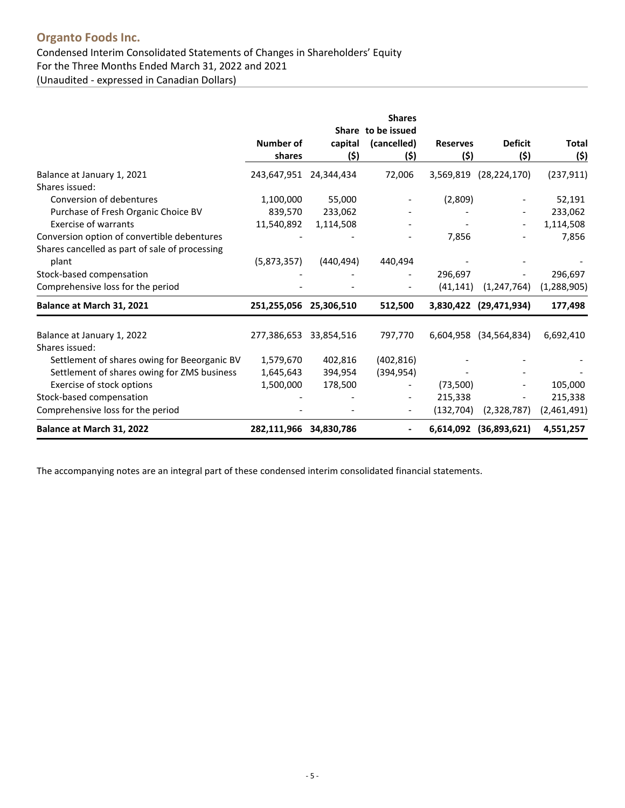## **Organto Foods Inc.** Condensed Interim Consolidated Statements of Changes in Shareholders' Equity For the Three Months Ended March 31, 2022 and 2021 (Unaudited - expressed in Canadian Dollars)

|                                                                                               |                        |                  | <b>Shares</b>               |                 |                        |               |
|-----------------------------------------------------------------------------------------------|------------------------|------------------|-----------------------------|-----------------|------------------------|---------------|
|                                                                                               | Number of              | Share<br>capital | to be issued<br>(cancelled) | <b>Reserves</b> | <b>Deficit</b>         | Total         |
|                                                                                               | shares                 | (5)              | (\$)                        | (\$)            | (\$)                   | (\$)          |
| Balance at January 1, 2021<br>Shares issued:                                                  | 243,647,951 24,344,434 |                  | 72,006                      | 3,569,819       | (28, 224, 170)         | (237, 911)    |
| Conversion of debentures                                                                      | 1,100,000              | 55,000           |                             | (2,809)         |                        | 52,191        |
| Purchase of Fresh Organic Choice BV                                                           | 839,570                | 233,062          |                             |                 |                        | 233,062       |
| <b>Exercise of warrants</b>                                                                   | 11,540,892             | 1,114,508        |                             |                 |                        | 1,114,508     |
| Conversion option of convertible debentures<br>Shares cancelled as part of sale of processing |                        |                  |                             | 7,856           |                        | 7,856         |
| plant                                                                                         | (5,873,357)            | (440, 494)       | 440,494                     |                 |                        |               |
| Stock-based compensation                                                                      |                        |                  |                             | 296,697         |                        | 296,697       |
| Comprehensive loss for the period                                                             |                        |                  |                             | (41, 141)       | (1, 247, 764)          | (1, 288, 905) |
| Balance at March 31, 2021                                                                     | 251,255,056 25,306,510 |                  | 512,500                     |                 | 3,830,422 (29,471,934) | 177,498       |
| Balance at January 1, 2022<br>Shares issued:                                                  | 277,386,653 33,854,516 |                  | 797,770                     | 6,604,958       | (34, 564, 834)         | 6,692,410     |
| Settlement of shares owing for Beeorganic BV                                                  | 1,579,670              | 402,816          | (402, 816)                  |                 |                        |               |
| Settlement of shares owing for ZMS business                                                   | 1,645,643              | 394,954          | (394, 954)                  |                 |                        |               |
| Exercise of stock options                                                                     | 1,500,000              | 178,500          |                             | (73,500)        |                        | 105,000       |
| Stock-based compensation                                                                      |                        |                  |                             | 215,338         |                        | 215,338       |
| Comprehensive loss for the period                                                             |                        |                  | $\overline{\phantom{a}}$    | (132, 704)      | (2,328,787)            | (2,461,491)   |
| Balance at March 31, 2022                                                                     | 282,111,966 34,830,786 |                  | $\blacksquare$              |                 | 6,614,092 (36,893,621) | 4,551,257     |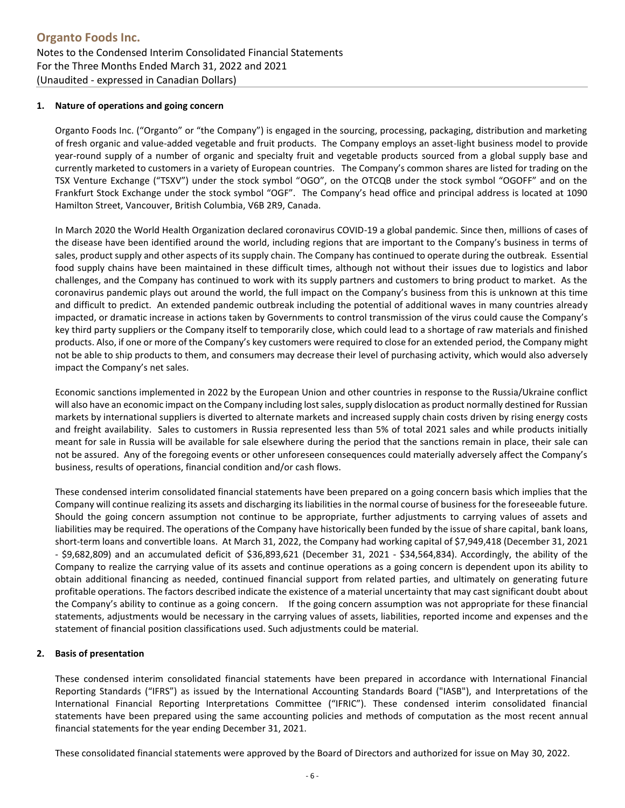#### <span id="page-5-0"></span>**1. Nature of operations and going concern**

Organto Foods Inc. ("Organto" or "the Company") is engaged in the sourcing, processing, packaging, distribution and marketing of fresh organic and value-added vegetable and fruit products. The Company employs an asset-light business model to provide year-round supply of a number of organic and specialty fruit and vegetable products sourced from a global supply base and currently marketed to customers in a variety of European countries. The Company's common shares are listed for trading on the TSX Venture Exchange ("TSXV") under the stock symbol "OGO", on the OTCQB under the stock symbol "OGOFF" and on the Frankfurt Stock Exchange under the stock symbol "OGF". The Company's head office and principal address is located at 1090 Hamilton Street, Vancouver, British Columbia, V6B 2R9, Canada.

In March 2020 the World Health Organization declared coronavirus COVID-19 a global pandemic. Since then, millions of cases of the disease have been identified around the world, including regions that are important to the Company's business in terms of sales, product supply and other aspects of its supply chain. The Company has continued to operate during the outbreak. Essential food supply chains have been maintained in these difficult times, although not without their issues due to logistics and labor challenges, and the Company has continued to work with its supply partners and customers to bring product to market. As the coronavirus pandemic plays out around the world, the full impact on the Company's business from this is unknown at this time and difficult to predict. An extended pandemic outbreak including the potential of additional waves in many countries already impacted, or dramatic increase in actions taken by Governments to control transmission of the virus could cause the Company's key third party suppliers or the Company itself to temporarily close, which could lead to a shortage of raw materials and finished products. Also, if one or more of the Company's key customers were required to close for an extended period, the Company might not be able to ship products to them, and consumers may decrease their level of purchasing activity, which would also adversely impact the Company's net sales.

Economic sanctions implemented in 2022 by the European Union and other countries in response to the Russia/Ukraine conflict will also have an economic impact on the Company including lost sales, supply dislocation as product normally destined for Russian markets by international suppliers is diverted to alternate markets and increased supply chain costs driven by rising energy costs and freight availability. Sales to customers in Russia represented less than 5% of total 2021 sales and while products initially meant for sale in Russia will be available for sale elsewhere during the period that the sanctions remain in place, their sale can not be assured. Any of the foregoing events or other unforeseen consequences could materially adversely affect the Company's business, results of operations, financial condition and/or cash flows.

These condensed interim consolidated financial statements have been prepared on a going concern basis which implies that the Company will continue realizing its assets and discharging its liabilities in the normal course of business for the foreseeable future. Should the going concern assumption not continue to be appropriate, further adjustments to carrying values of assets and liabilities may be required. The operations of the Company have historically been funded by the issue of share capital, bank loans, short-term loans and convertible loans. At March 31, 2022, the Company had working capital of \$7,949,418 (December 31, 2021 - \$9,682,809) and an accumulated deficit of \$36,893,621 (December 31, 2021 - \$34,564,834). Accordingly, the ability of the Company to realize the carrying value of its assets and continue operations as a going concern is dependent upon its ability to obtain additional financing as needed, continued financial support from related parties, and ultimately on generating future profitable operations. The factors described indicate the existence of a material uncertainty that may cast significant doubt about the Company's ability to continue as a going concern. If the going concern assumption was not appropriate for these financial statements, adjustments would be necessary in the carrying values of assets, liabilities, reported income and expenses and the statement of financial position classifications used. Such adjustments could be material.

#### **2. Basis of presentation**

These condensed interim consolidated financial statements have been prepared in accordance with International Financial Reporting Standards ("IFRS") as issued by the International Accounting Standards Board ("IASB"), and Interpretations of the International Financial Reporting Interpretations Committee ("IFRIC"). These condensed interim consolidated financial statements have been prepared using the same accounting policies and methods of computation as the most recent annual financial statements for the year ending December 31, 2021.

These consolidated financial statements were approved by the Board of Directors and authorized for issue on May 30, 2022.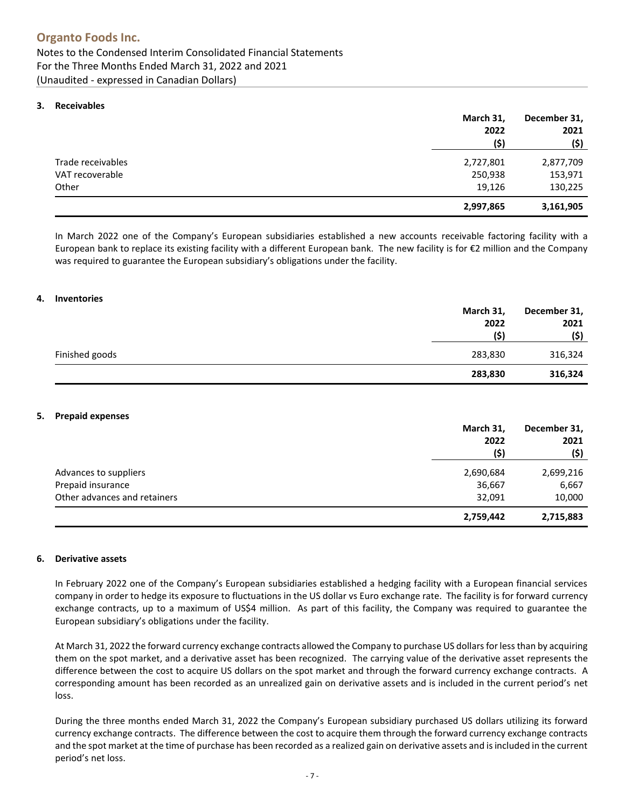#### <span id="page-6-0"></span>**3. [Receivables](#page-1-0)**

|                   | March 31, | December 31, |  |
|-------------------|-----------|--------------|--|
|                   | 2022      | 2021         |  |
|                   | (\$)      | (\$)         |  |
| Trade receivables | 2,727,801 | 2,877,709    |  |
| VAT recoverable   | 250,938   | 153,971      |  |
| Other             | 19,126    | 130,225      |  |
|                   | 2,997,865 | 3,161,905    |  |

In March 2022 one of the Company's European subsidiaries established a new accounts receivable factoring facility with a European bank to replace its existing facility with a different European bank. The new facility is for €2 million and the Company was required to guarantee the European subsidiary's obligations under the facility.

#### <span id="page-6-1"></span>**4. [Inventories](#page-1-0)**

|                | March 31, | December 31, |
|----------------|-----------|--------------|
|                | 2022      | 2021         |
|                | (5)       | (\$)         |
| Finished goods | 283,830   | 316,324      |
|                | 283,830   | 316,324      |

#### <span id="page-6-2"></span>**5. [Prepaid expenses](#page-1-0)**

|                              | March 31, | December 31,<br>2021 |  |
|------------------------------|-----------|----------------------|--|
|                              | 2022      |                      |  |
|                              | (\$)      | (\$)                 |  |
| Advances to suppliers        | 2,690,684 | 2,699,216            |  |
| Prepaid insurance            | 36,667    | 6,667                |  |
| Other advances and retainers | 32,091    | 10,000               |  |
|                              | 2,759,442 | 2,715,883            |  |

#### <span id="page-6-3"></span>**6. Derivative [assets](#page-1-0)**

In February 2022 one of the Company's European subsidiaries established a hedging facility with a European financial services company in order to hedge its exposure to fluctuations in the US dollar vs Euro exchange rate. The facility is for forward currency exchange contracts, up to a maximum of US\$4 million. As part of this facility, the Company was required to guarantee the European subsidiary's obligations under the facility.

At March 31, 2022 the forward currency exchange contracts allowed the Company to purchase US dollars for less than by acquiring them on the spot market, and a derivative asset has been recognized. The carrying value of the derivative asset represents the difference between the cost to acquire US dollars on the spot market and through the forward currency exchange contracts. A corresponding amount has been recorded as an unrealized gain on derivative assets and is included in the current period's net loss.

During the three months ended March 31, 2022 the Company's European subsidiary purchased US dollars utilizing its forward currency exchange contracts. The difference between the cost to acquire them through the forward currency exchange contracts and the spot market at the time of purchase has been recorded as a realized gain on derivative assets and is included in the current period's net loss.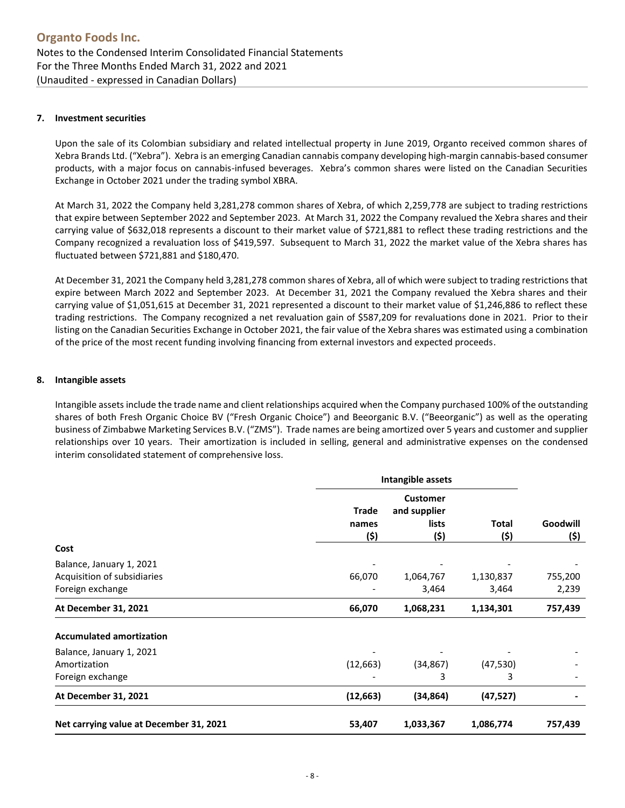#### <span id="page-7-0"></span>**7. [Investment securities](#page-1-0)**

Upon the sale of its Colombian subsidiary and related intellectual property in June 2019, Organto received common shares of Xebra Brands Ltd. ("Xebra"). Xebra is an emerging Canadian cannabis company developing high-margin cannabis-based consumer products, with a major focus on cannabis-infused beverages. Xebra's common shares were listed on the Canadian Securities Exchange in October 2021 under the trading symbol XBRA.

At March 31, 2022 the Company held 3,281,278 common shares of Xebra, of which 2,259,778 are subject to trading restrictions that expire between September 2022 and September 2023. At March 31, 2022 the Company revalued the Xebra shares and their carrying value of \$632,018 represents a discount to their market value of \$721,881 to reflect these trading restrictions and the Company recognized a revaluation loss of \$419,597. Subsequent to March 31, 2022 the market value of the Xebra shares has fluctuated between \$721,881 and \$180,470.

At December 31, 2021 the Company held 3,281,278 common shares of Xebra, all of which were subject to trading restrictions that expire between March 2022 and September 2023. At December 31, 2021 the Company revalued the Xebra shares and their carrying value of \$1,051,615 at December 31, 2021 represented a discount to their market value of \$1,246,886 to reflect these trading restrictions. The Company recognized a net revaluation gain of \$587,209 for revaluations done in 2021. Prior to their listing on the Canadian Securities Exchange in October 2021, the fair value of the Xebra shares was estimated using a combination of the price of the most recent funding involving financing from external investors and expected proceeds.

#### **8. [Intangible assets](#page-1-0)**

Intangible assets include the trade name and client relationships acquired when the Company purchased 100% of the outstanding shares of both Fresh Organic Choice BV ("Fresh Organic Choice") and Beeorganic B.V. ("Beeorganic") as well as the operating business of Zimbabwe Marketing Services B.V. ("ZMS"). Trade names are being amortized over 5 years and customer and supplier relationships over 10 years. Their amortization is included in selling, general and administrative expenses on the condensed interim consolidated statement of comprehensive loss.

|                                                                                     | Intangible assets      |                                                  |                      |                  |
|-------------------------------------------------------------------------------------|------------------------|--------------------------------------------------|----------------------|------------------|
|                                                                                     | Trade<br>names<br>(\$) | <b>Customer</b><br>and supplier<br>lists<br>(\$) | <b>Total</b><br>(\$) | Goodwill<br>(\$) |
| Cost<br>Balance, January 1, 2021<br>Acquisition of subsidiaries<br>Foreign exchange | 66,070                 |                                                  | 1,130,837<br>3,464   | 755,200<br>2,239 |
|                                                                                     |                        |                                                  |                      |                  |
|                                                                                     |                        | 1,064,767<br>3,464                               |                      |                  |
|                                                                                     |                        |                                                  |                      |                  |
| <b>Accumulated amortization</b>                                                     |                        |                                                  |                      |                  |
| Balance, January 1, 2021                                                            |                        |                                                  |                      |                  |
| Amortization                                                                        | (12, 663)              | (34, 867)                                        | (47, 530)            |                  |
| Foreign exchange                                                                    |                        | 3                                                | 3                    |                  |
| At December 31, 2021                                                                | (12, 663)              | (34, 864)                                        | (47, 527)            |                  |
| Net carrying value at December 31, 2021                                             | 53,407                 | 1,033,367                                        | 1,086,774            | 757,439          |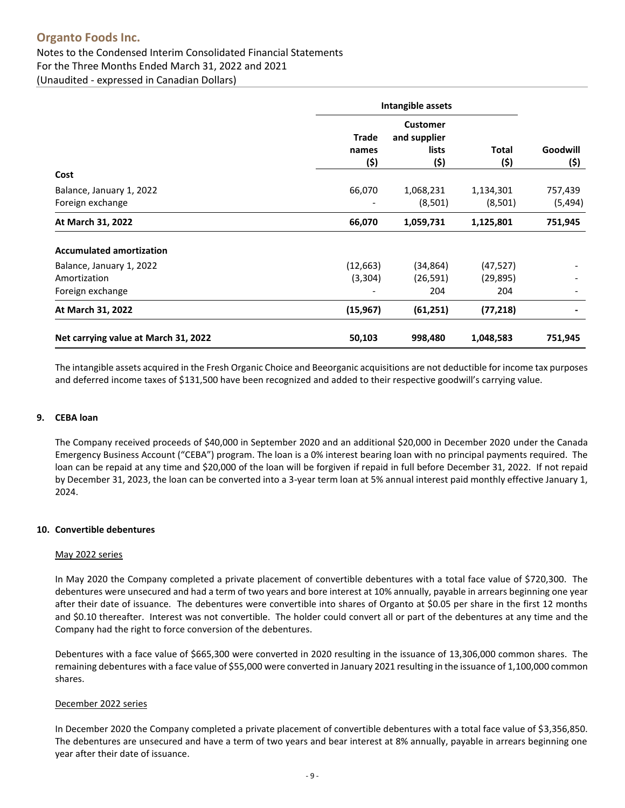## **Organto Foods Inc.**

### Notes to the Condensed Interim Consolidated Financial Statements For the Three Months Ended March 31, 2022 and 2021 (Unaudited - expressed in Canadian Dollars)

**Intangible assets Trade names Customer and supplier lists Total Goodwill (\$) (\$) (\$) (\$) Cost** Balance, January 1, 2022 66,070 1,068,231 1,134,301 757,439 Foreign exchange  $(8,501)$   $(5,494)$ **At March 31, 2022 66,070 1,059,731 1,125,801 751,945 Accumulated amortization** Balance, January 1, 2022 1990 12, 2002 12, 2003 12, 2004 12, 2010 12, 2010 12, 2010 12, 2010 12, 201 Amortization (3,304) (26,591) (29,895) - Foreign exchange - 204 204 - **At March 31, 2022 (15,967) (61,251) (77,218) - Net carrying value at March 31, 2022 50,103 998,480 1,048,583 751,945**

The intangible assets acquired in the Fresh Organic Choice and Beeorganic acquisitions are not deductible for income tax purposes and deferred income taxes of \$131,500 have been recognized and added to their respective goodwill's carrying value.

#### <span id="page-8-0"></span>**9. [CEBA loan](#page-1-0)**

The Company received proceeds of \$40,000 in September 2020 and an additional \$20,000 in December 2020 under the Canada Emergency Business Account ("CEBA") program. The loan is a 0% interest bearing loan with no principal payments required. The loan can be repaid at any time and \$20,000 of the loan will be forgiven if repaid in full before December 31, 2022. If not repaid by December 31, 2023, the loan can be converted into a 3-year term loan at 5% annual interest paid monthly effective January 1, 2024.

#### <span id="page-8-2"></span><span id="page-8-1"></span>**10. [Convertible debentures](#page-1-0)**

#### May 2022 series

In May 2020 the Company completed a private placement of convertible debentures with a total face value of \$720,300. The debentures were unsecured and had a term of two years and bore interest at 10% annually, payable in arrears beginning one year after their date of issuance. The debentures were convertible into shares of Organto at \$0.05 per share in the first 12 months and \$0.10 thereafter. Interest was not convertible. The holder could convert all or part of the debentures at any time and the Company had the right to force conversion of the debentures.

Debentures with a face value of \$665,300 were converted in 2020 resulting in the issuance of 13,306,000 common shares. The remaining debentures with a face value of \$55,000 were converted in January 2021 resulting in the issuance of 1,100,000 common shares.

#### December 2022 series

In December 2020 the Company completed a private placement of convertible debentures with a total face value of \$3,356,850. The debentures are unsecured and have a term of two years and bear interest at 8% annually, payable in arrears beginning one year after their date of issuance.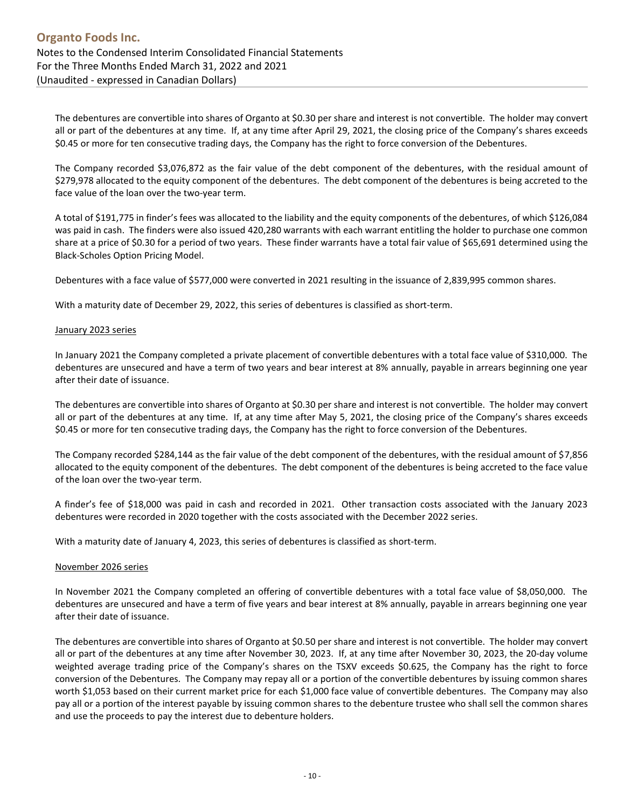The debentures are convertible into shares of Organto at \$0.30 per share and interest is not convertible. The holder may convert all or part of the debentures at any time. If, at any time after April 29, 2021, the closing price of the Company's shares exceeds \$0.45 or more for ten consecutive trading days, the Company has the right to force conversion of the Debentures.

The Company recorded \$3,076,872 as the fair value of the debt component of the debentures, with the residual amount of \$279,978 allocated to the equity component of the debentures. The debt component of the debentures is being accreted to the face value of the loan over the two-year term.

A total of \$191,775 in finder's fees was allocated to the liability and the equity components of the debentures, of which \$126,084 was paid in cash. The finders were also issued 420,280 warrants with each warrant entitling the holder to purchase one common share at a price of \$0.30 for a period of two years. These finder warrants have a total fair value of \$65,691 determined using the Black-Scholes Option Pricing Model.

Debentures with a face value of \$577,000 were converted in 2021 resulting in the issuance of 2,839,995 common shares.

With a maturity date of December 29, 2022, this series of debentures is classified as short-term.

#### January 2023 series

In January 2021 the Company completed a private placement of convertible debentures with a total face value of \$310,000. The debentures are unsecured and have a term of two years and bear interest at 8% annually, payable in arrears beginning one year after their date of issuance.

The debentures are convertible into shares of Organto at \$0.30 per share and interest is not convertible. The holder may convert all or part of the debentures at any time. If, at any time after May 5, 2021, the closing price of the Company's shares exceeds \$0.45 or more for ten consecutive trading days, the Company has the right to force conversion of the Debentures.

The Company recorded \$284,144 as the fair value of the debt component of the debentures, with the residual amount of \$7,856 allocated to the equity component of the debentures. The debt component of the debentures is being accreted to the face value of the loan over the two-year term.

A finder's fee of \$18,000 was paid in cash and recorded in 2021. Other transaction costs associated with the January 2023 debentures were recorded in 2020 together with the costs associated with the December 2022 series.

With a maturity date of January 4, 2023, this series of debentures is classified as short-term.

#### November 2026 series

In November 2021 the Company completed an offering of convertible debentures with a total face value of \$8,050,000. The debentures are unsecured and have a term of five years and bear interest at 8% annually, payable in arrears beginning one year after their date of issuance.

The debentures are convertible into shares of Organto at \$0.50 per share and interest is not convertible. The holder may convert all or part of the debentures at any time after November 30, 2023. If, at any time after November 30, 2023, the 20-day volume weighted average trading price of the Company's shares on the TSXV exceeds \$0.625, the Company has the right to force conversion of the Debentures. The Company may repay all or a portion of the convertible debentures by issuing common shares worth \$1,053 based on their current market price for each \$1,000 face value of convertible debentures. The Company may also pay all or a portion of the interest payable by issuing common shares to the debenture trustee who shall sell the common shares and use the proceeds to pay the interest due to debenture holders.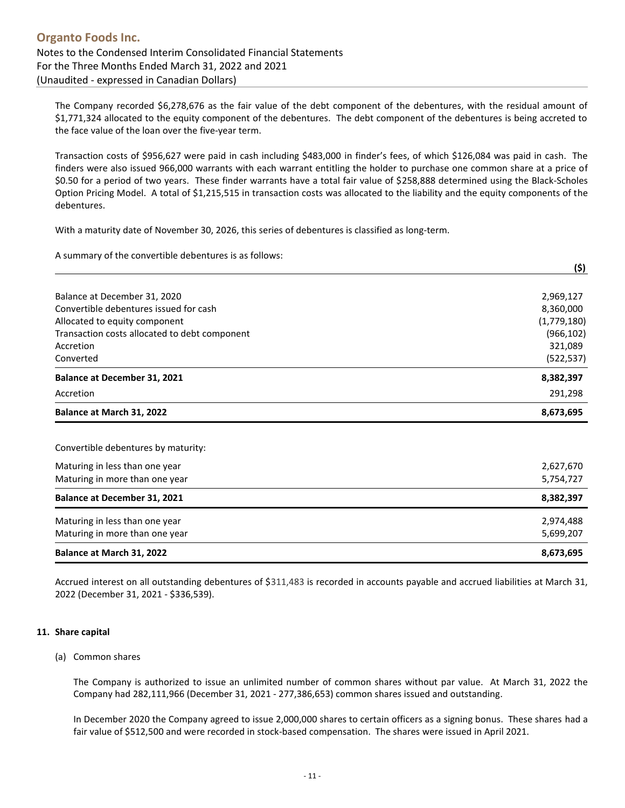The Company recorded \$6,278,676 as the fair value of the debt component of the debentures, with the residual amount of \$1,771,324 allocated to the equity component of the debentures. The debt component of the debentures is being accreted to the face value of the loan over the five-year term.

Transaction costs of \$956,627 were paid in cash including \$483,000 in finder's fees, of which \$126,084 was paid in cash. The finders were also issued 966,000 warrants with each warrant entitling the holder to purchase one common share at a price of \$0.50 for a period of two years. These finder warrants have a total fair value of \$258,888 determined using the Black-Scholes Option Pricing Model. A total of \$1,215,515 in transaction costs was allocated to the liability and the equity components of the debentures.

With a maturity date of November 30, 2026, this series of debentures is classified as long-term.

A summary of the convertible debentures is as follows:

|                                               | (\$)        |
|-----------------------------------------------|-------------|
| Balance at December 31, 2020                  | 2,969,127   |
| Convertible debentures issued for cash        | 8,360,000   |
| Allocated to equity component                 | (1,779,180) |
| Transaction costs allocated to debt component | (966, 102)  |
| Accretion                                     | 321,089     |
| Converted                                     | (522, 537)  |
| <b>Balance at December 31, 2021</b>           | 8,382,397   |
| Accretion                                     | 291,298     |
| Balance at March 31, 2022                     | 8,673,695   |

Convertible debentures by maturity:

| Maturing in less than one year<br>Maturing in more than one year | 2,627,670<br>5,754,727 |
|------------------------------------------------------------------|------------------------|
| <b>Balance at December 31, 2021</b>                              | 8,382,397              |
| Maturing in less than one year                                   | 2,974,488              |
| Maturing in more than one year                                   | 5,699,207              |
| Balance at March 31, 2022                                        | 8,673,695              |

Accrued interest on all outstanding debentures of \$311,483 is recorded in accounts payable and accrued liabilities at March 31, 2022 (December 31, 2021 - \$336,539).

#### <span id="page-10-1"></span><span id="page-10-0"></span>**11. [Share capital](#page-1-0)**

#### (a) Common shares

The Company is authorized to issue an unlimited number of common shares without par value. At March 31, 2022 the Company had 282,111,966 (December 31, 2021 - 277,386,653) common shares issued and outstanding.

In December 2020 the Company agreed to issue 2,000,000 shares to certain officers as a signing bonus. These shares had a fair value of \$512,500 and were recorded in stock-based compensation. The shares were issued in April 2021.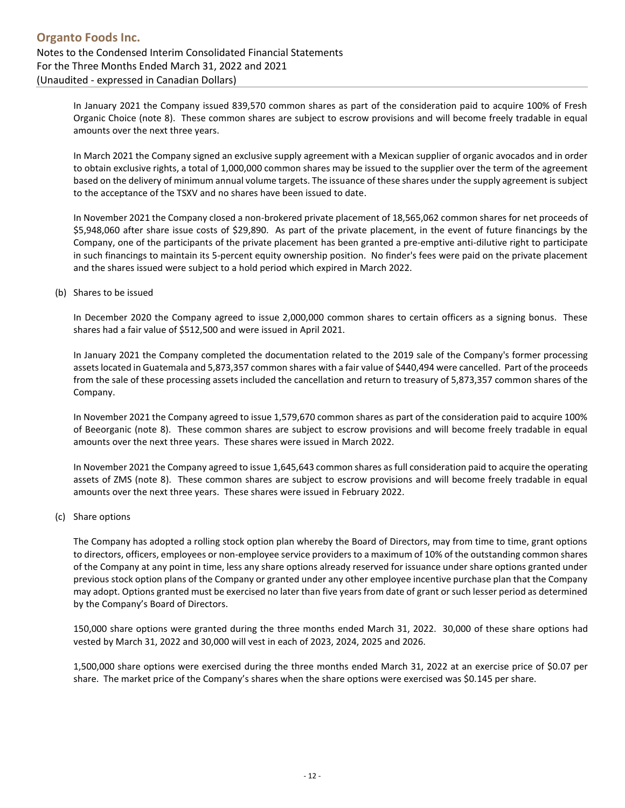In January 2021 the Company issued 839,570 common shares as part of the consideration paid to acquire 100% of Fresh Organic Choice [\(note 8\)](#page-6-3). These common shares are subject to escrow provisions and will become freely tradable in equal amounts over the next three years.

In March 2021 the Company signed an exclusive supply agreement with a Mexican supplier of organic avocados and in order to obtain exclusive rights, a total of 1,000,000 common shares may be issued to the supplier over the term of the agreement based on the delivery of minimum annual volume targets. The issuance of these shares under the supply agreement is subject to the acceptance of the TSXV and no shares have been issued to date.

In November 2021 the Company closed a non-brokered private placement of 18,565,062 common shares for net proceeds of \$5,948,060 after share issue costs of \$29,890. As part of the private placement, in the event of future financings by the Company, one of the participants of the private placement has been granted a pre-emptive anti-dilutive right to participate in such financings to maintain its 5-percent equity ownership position. No finder's fees were paid on the private placement and the shares issued were subject to a hold period which expired in March 2022.

(b) [Shares to be issued](#page-1-0)

In December 2020 the Company agreed to issue 2,000,000 common shares to certain officers as a signing bonus. These shares had a fair value of \$512,500 and were issued in April 2021.

In January 2021 the Company completed the documentation related to the 2019 sale of the Company's former processing assets located in Guatemala and 5,873,357 common shares with a fair value of \$440,494 were cancelled. Part of the proceeds from the sale of these processing assets included the cancellation and return to treasury of 5,873,357 common shares of the Company.

In November 2021 the Company agreed to issue 1,579,670 common shares as part of the consideration paid to acquire 100% of Beeorganic [\(note 8\)](#page-6-3). These common shares are subject to escrow provisions and will become freely tradable in equal amounts over the next three years. These shares were issued in March 2022.

In November 2021 the Company agreed to issue 1,645,643 common shares as full consideration paid to acquire the operating assets of ZMS [\(note 8\)](#page-6-3). These common shares are subject to escrow provisions and will become freely tradable in equal amounts over the next three years. These shares were issued in February 2022.

#### <span id="page-11-0"></span>(c) [Share options](#page-1-0)

The Company has adopted a rolling stock option plan whereby the Board of Directors, may from time to time, grant options to directors, officers, employees or non-employee service providers to a maximum of 10% of the outstanding common shares of the Company at any point in time, less any share options already reserved for issuance under share options granted under previous stock option plans of the Company or granted under any other employee incentive purchase plan that the Company may adopt. Options granted must be exercised no later than five years from date of grant or such lesser period as determined by the Company's Board of Directors.

150,000 share options were granted during the three months ended March 31, 2022. 30,000 of these share options had vested by March 31, 2022 and 30,000 will vest in each of 2023, 2024, 2025 and 2026.

1,500,000 share options were exercised during the three months ended March 31, 2022 at an exercise price of \$0.07 per share. The market price of the Company's shares when the share options were exercised was \$0.145 per share.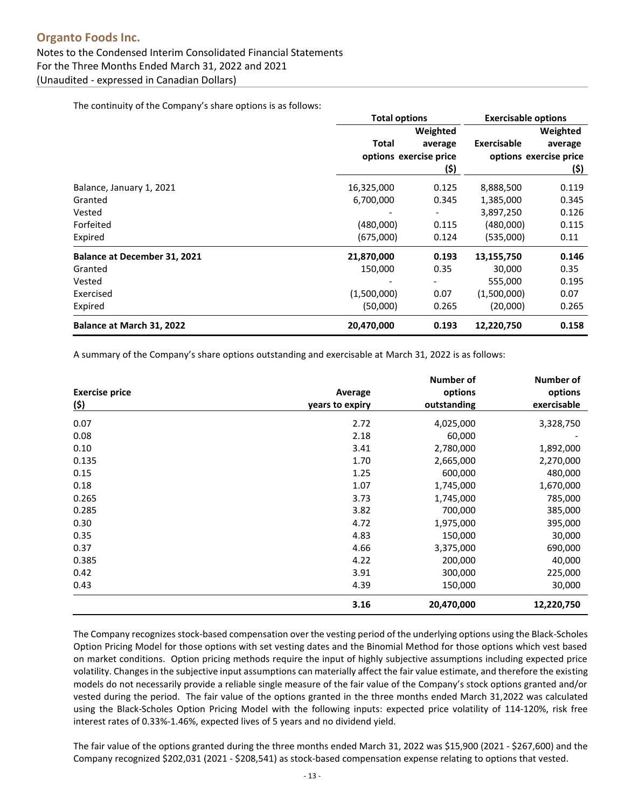The continuity of the Company's share options is as follows:

|                                     | <b>Total options</b>   |         | <b>Exercisable options</b> |                        |
|-------------------------------------|------------------------|---------|----------------------------|------------------------|
|                                     | Weighted               |         | Weighted                   |                        |
|                                     | Total                  | average | <b>Exercisable</b>         | average                |
|                                     | options exercise price |         |                            | options exercise price |
|                                     |                        | (\$)    |                            | (\$)                   |
| Balance, January 1, 2021            | 16,325,000<br>0.125    |         | 8,888,500                  | 0.119                  |
| Granted                             | 6,700,000              | 0.345   | 1,385,000                  | 0.345                  |
| Vested                              |                        |         | 3,897,250                  | 0.126                  |
| Forfeited                           | (480,000)              | 0.115   | (480,000)                  | 0.115                  |
| Expired                             | (675,000)              | 0.124   | (535,000)                  | 0.11                   |
| <b>Balance at December 31, 2021</b> | 21,870,000             | 0.193   | 13,155,750                 | 0.146                  |
| Granted                             | 150,000                | 0.35    | 30,000                     | 0.35                   |
| Vested                              |                        |         | 555,000                    | 0.195                  |
| Exercised                           | (1,500,000)            | 0.07    | (1,500,000)                | 0.07                   |
| Expired                             | (50,000)               | 0.265   | (20,000)                   | 0.265                  |
| Balance at March 31, 2022           | 20,470,000             | 0.193   | 12,220,750                 | 0.158                  |

A summary of the Company's share options outstanding and exercisable at March 31, 2022 is as follows:

|                       |                 | Number of   | <b>Number of</b> |
|-----------------------|-----------------|-------------|------------------|
| <b>Exercise price</b> | Average         | options     | options          |
| <u>(\$)</u>           | years to expiry | outstanding | exercisable      |
| 0.07                  | 2.72            | 4,025,000   | 3,328,750        |
| 0.08                  | 2.18            | 60,000      |                  |
| 0.10                  | 3.41            | 2,780,000   | 1,892,000        |
| 0.135                 | 1.70            | 2,665,000   | 2,270,000        |
| 0.15                  | 1.25            | 600,000     | 480,000          |
| 0.18                  | 1.07            | 1,745,000   | 1,670,000        |
| 0.265                 | 3.73            | 1,745,000   | 785,000          |
| 0.285                 | 3.82            | 700,000     | 385,000          |
| 0.30                  | 4.72            | 1,975,000   | 395,000          |
| 0.35                  | 4.83            | 150,000     | 30,000           |
| 0.37                  | 4.66            | 3,375,000   | 690,000          |
| 0.385                 | 4.22            | 200,000     | 40,000           |
| 0.42                  | 3.91            | 300,000     | 225,000          |
| 0.43                  | 4.39            | 150,000     | 30,000           |
|                       | 3.16            | 20,470,000  | 12,220,750       |

The Company recognizes stock-based compensation over the vesting period of the underlying options using the Black-Scholes Option Pricing Model for those options with set vesting dates and the Binomial Method for those options which vest based on market conditions. Option pricing methods require the input of highly subjective assumptions including expected price volatility. Changes in the subjective input assumptions can materially affect the fair value estimate, and therefore the existing models do not necessarily provide a reliable single measure of the fair value of the Company's stock options granted and/or vested during the period. The fair value of the options granted in the three months ended March 31,2022 was calculated using the Black-Scholes Option Pricing Model with the following inputs: expected price volatility of 114-120%, risk free interest rates of 0.33%-1.46%, expected lives of 5 years and no dividend yield.

The fair value of the options granted during the three months ended March 31, 2022 was \$15,900 (2021 - \$267,600) and the Company recognized \$202,031 (2021 - \$208,541) as stock-based compensation expense relating to options that vested.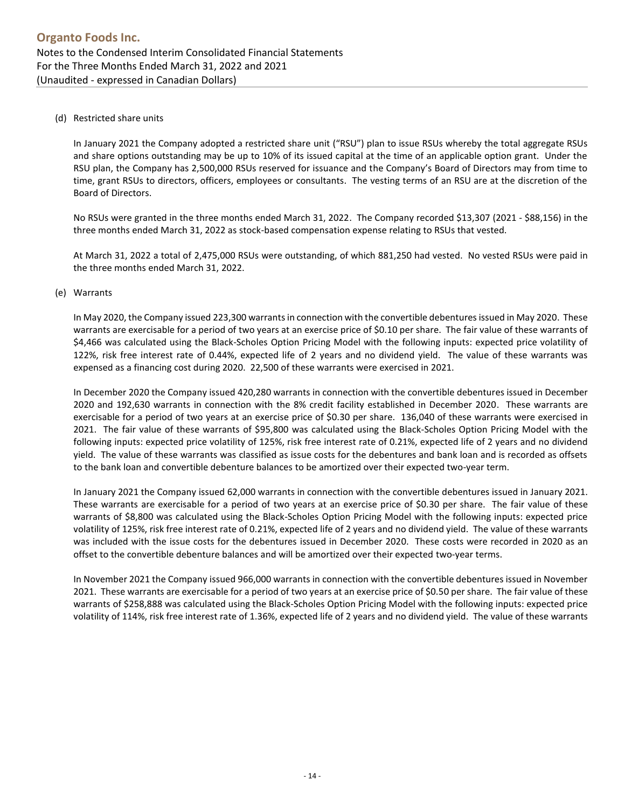(d) Restricted share units

In January 2021 the Company adopted a restricted share unit ("RSU") plan to issue RSUs whereby the total aggregate RSUs and share options outstanding may be up to 10% of its issued capital at the time of an applicable option grant. Under the RSU plan, the Company has 2,500,000 RSUs reserved for issuance and the Company's Board of Directors may from time to time, grant RSUs to directors, officers, employees or consultants. The vesting terms of an RSU are at the discretion of the Board of Directors.

No RSUs were granted in the three months ended March 31, 2022. The Company recorded \$13,307 (2021 - \$88,156) in the three months ended March 31, 2022 as stock-based compensation expense relating to RSUs that vested.

At March 31, 2022 a total of 2,475,000 RSUs were outstanding, of which 881,250 had vested. No vested RSUs were paid in the three months ended March 31, 2022.

#### (e) Warrants

In May 2020, the Company issued 223,300 warrants in connection with the convertible debentures issued in May 2020. These warrants are exercisable for a period of two years at an exercise price of \$0.10 per share. The fair value of these warrants of \$4,466 was calculated using the Black-Scholes Option Pricing Model with the following inputs: expected price volatility of 122%, risk free interest rate of 0.44%, expected life of 2 years and no dividend yield. The value of these warrants was expensed as a financing cost during 2020. 22,500 of these warrants were exercised in 2021.

In December 2020 the Company issued 420,280 warrants in connection with the convertible debentures issued in December 2020 and 192,630 warrants in connection with the 8% credit facility established in December 2020. These warrants are exercisable for a period of two years at an exercise price of \$0.30 per share. 136,040 of these warrants were exercised in 2021. The fair value of these warrants of \$95,800 was calculated using the Black-Scholes Option Pricing Model with the following inputs: expected price volatility of 125%, risk free interest rate of 0.21%, expected life of 2 years and no dividend yield. The value of these warrants was classified as issue costs for the debentures and bank loan and is recorded as offsets to the bank loan and convertible debenture balances to be amortized over their expected two-year term.

In January 2021 the Company issued 62,000 warrants in connection with the convertible debentures issued in January 2021. These warrants are exercisable for a period of two years at an exercise price of \$0.30 per share. The fair value of these warrants of \$8,800 was calculated using the Black-Scholes Option Pricing Model with the following inputs: expected price volatility of 125%, risk free interest rate of 0.21%, expected life of 2 years and no dividend yield. The value of these warrants was included with the issue costs for the debentures issued in December 2020. These costs were recorded in 2020 as an offset to the convertible debenture balances and will be amortized over their expected two-year terms.

In November 2021 the Company issued 966,000 warrants in connection with the convertible debentures issued in November 2021. These warrants are exercisable for a period of two years at an exercise price of \$0.50 per share. The fair value of these warrants of \$258,888 was calculated using the Black-Scholes Option Pricing Model with the following inputs: expected price volatility of 114%, risk free interest rate of 1.36%, expected life of 2 years and no dividend yield. The value of these warrants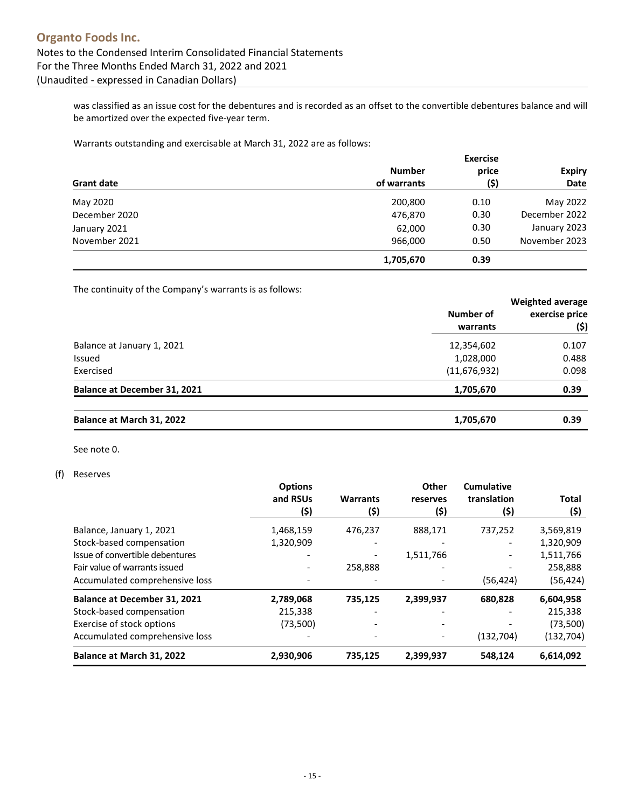was classified as an issue cost for the debentures and is recorded as an offset to the convertible debentures balance and will be amortized over the expected five-year term.

Warrants outstanding and exercisable at March 31, 2022 are as follows:

|                   | <b>Exercise</b> |       |               |  |  |
|-------------------|-----------------|-------|---------------|--|--|
|                   | <b>Number</b>   | price | <b>Expiry</b> |  |  |
| <b>Grant date</b> | of warrants     | (\$)  | Date          |  |  |
| May 2020          | 200,800         | 0.10  | May 2022      |  |  |
| December 2020     | 476,870         | 0.30  | December 2022 |  |  |
| January 2021      | 62,000          | 0.30  | January 2023  |  |  |
| November 2021     | 966,000         | 0.50  | November 2023 |  |  |
|                   | 1,705,670       | 0.39  |               |  |  |

The continuity of the Company's warrants is as follows:

|                                     |                | <b>Weighted average</b> |  |
|-------------------------------------|----------------|-------------------------|--|
|                                     | Number of      | exercise price          |  |
|                                     | warrants       | (\$)                    |  |
| Balance at January 1, 2021          | 12,354,602     | 0.107<br>0.488          |  |
| Issued                              | 1,028,000      |                         |  |
| Exercised                           | (11, 676, 932) | 0.098                   |  |
| <b>Balance at December 31, 2021</b> | 1,705,670      | 0.39                    |  |
| Balance at March 31, 2022           | 1,705,670      | 0.39                    |  |

See note [0.](#page-17-1)

#### (f) [Reserves](#page-1-0)

<span id="page-14-0"></span>

|                                     | <b>Options</b>           |                 | Other     | <b>Cumulative</b> |              |
|-------------------------------------|--------------------------|-----------------|-----------|-------------------|--------------|
|                                     | and RSUs                 | <b>Warrants</b> | reserves  | translation       | <b>Total</b> |
|                                     | (\$)                     | (\$)            | (\$)      | (\$)              | (\$)         |
| Balance, January 1, 2021            | 1,468,159                | 476,237         | 888,171   | 737,252           | 3,569,819    |
| Stock-based compensation            | 1,320,909                |                 |           |                   | 1,320,909    |
| Issue of convertible debentures     | $\overline{\phantom{0}}$ |                 | 1,511,766 |                   | 1,511,766    |
| Fair value of warrants issued       |                          | 258,888         |           |                   | 258,888      |
| Accumulated comprehensive loss      |                          |                 |           | (56, 424)         | (56, 424)    |
| <b>Balance at December 31, 2021</b> | 2,789,068                | 735,125         | 2,399,937 | 680,828           | 6,604,958    |
| Stock-based compensation            | 215,338                  |                 |           |                   | 215,338      |
| Exercise of stock options           | (73,500)                 |                 |           |                   | (73,500)     |
| Accumulated comprehensive loss      |                          |                 |           | (132, 704)        | (132, 704)   |
| Balance at March 31, 2022           | 2,930,906                | 735,125         | 2,399,937 | 548.124           | 6,614,092    |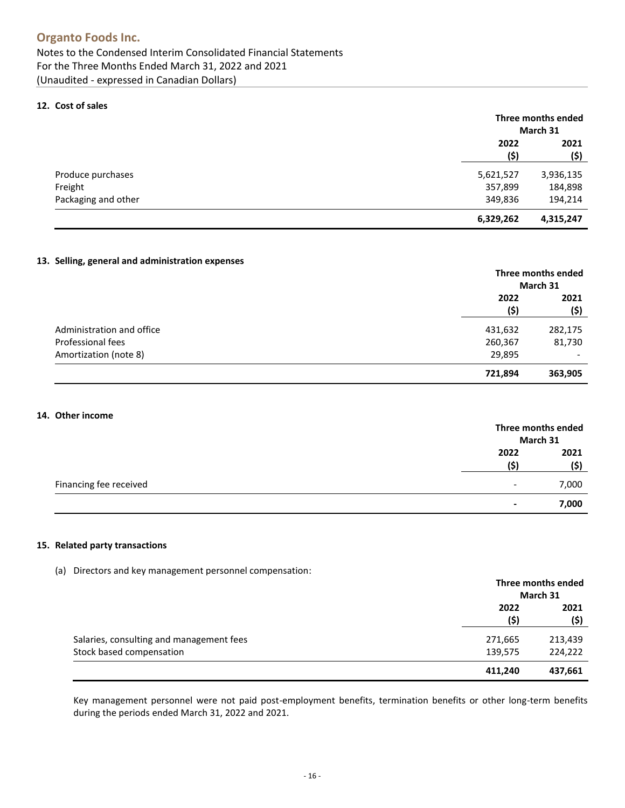#### <span id="page-15-0"></span>**12. [Cost of sales](#page-2-0)**

|                     |              | Three months ended<br>March 31 |  |
|---------------------|--------------|--------------------------------|--|
|                     | 2022<br>(\$) | 2021<br>(\$)                   |  |
| Produce purchases   | 5,621,527    | 3,936,135                      |  |
| Freight             | 357,899      | 184,898                        |  |
| Packaging and other | 349,836      | 194,214                        |  |
|                     | 6,329,262    | 4,315,247                      |  |

#### <span id="page-15-1"></span>**13. [Selling, general and administration expenses](#page-2-0)**

|                           |             | Three months ended<br>March 31 |  |
|---------------------------|-------------|--------------------------------|--|
|                           | 2022<br>(5) | 2021<br>(\$)                   |  |
| Administration and office | 431,632     | 282,175                        |  |
| Professional fees         | 260,367     | 81,730                         |  |
| Amortization (note 8)     | 29,895      | $\overline{\phantom{a}}$       |  |
|                           | 721,894     | 363,905                        |  |

#### <span id="page-15-2"></span>**14. Other income**

|                        |                          | Three months ended<br>March 31 |  |
|------------------------|--------------------------|--------------------------------|--|
|                        | 2022<br>(Ś)              | 2021<br>(\$)                   |  |
| Financing fee received | $\overline{\phantom{a}}$ | 7,000                          |  |
|                        | $\blacksquare$           | 7,000                          |  |

#### **15. Related party transactions**

(a) Directors and key management personnel compensation:

|                                          |         | Three months ended<br>March 31 |  |
|------------------------------------------|---------|--------------------------------|--|
|                                          |         |                                |  |
|                                          | 2022    | 2021                           |  |
|                                          | (\$)    | (\$)                           |  |
| Salaries, consulting and management fees | 271,665 | 213,439                        |  |
| Stock based compensation                 | 139,575 | 224,222                        |  |
|                                          | 411,240 | 437,661                        |  |

Key management personnel were not paid post-employment benefits, termination benefits or other long-term benefits during the periods ended March 31, 2022 and 2021.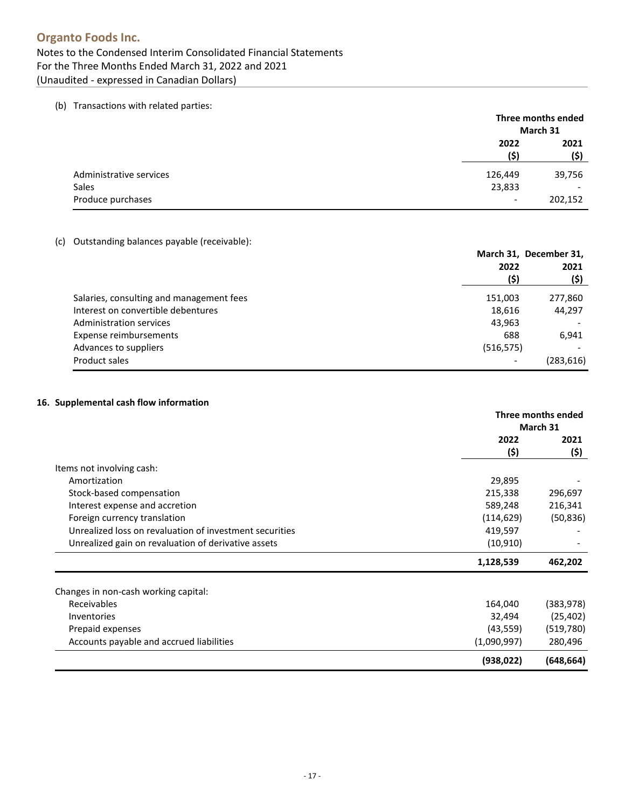(b) Transactions with related parties:

|                         |                          | Three months ended<br>March 31 |  |
|-------------------------|--------------------------|--------------------------------|--|
|                         | 2022<br>(\$)             | 2021<br>(\$)                   |  |
| Administrative services | 126,449                  | 39,756                         |  |
| Sales                   | 23,833                   | $\overline{\phantom{0}}$       |  |
| Produce purchases       | $\overline{\phantom{a}}$ | 202,152                        |  |

(c) Outstanding balances payable (receivable):

|                                          | March 31, December 31,<br>2022 |            |
|------------------------------------------|--------------------------------|------------|
|                                          | (\$)                           | (\$)       |
| Salaries, consulting and management fees | 151,003                        | 277,860    |
| Interest on convertible debentures       | 18,616                         | 44,297     |
| Administration services                  | 43,963                         |            |
| Expense reimbursements                   | 688                            | 6,941      |
| Advances to suppliers                    | (516, 575)                     |            |
| Product sales                            | $\overline{\phantom{0}}$       | (283, 616) |

#### <span id="page-16-0"></span>**16. [Supplemental cash flow information](#page-3-0)**

|                                                         | Three months ended<br>March 31 |              |
|---------------------------------------------------------|--------------------------------|--------------|
|                                                         | 2022<br>(\$)                   | 2021<br>(\$) |
| Items not involving cash:                               |                                |              |
| Amortization                                            | 29,895                         |              |
| Stock-based compensation                                | 215,338                        | 296,697      |
| Interest expense and accretion                          | 589,248                        | 216,341      |
| Foreign currency translation                            | (114, 629)                     | (50, 836)    |
| Unrealized loss on revaluation of investment securities | 419,597                        |              |
| Unrealized gain on revaluation of derivative assets     | (10, 910)                      |              |
|                                                         | 1,128,539                      | 462,202      |
| Changes in non-cash working capital:                    |                                |              |
| Receivables                                             | 164,040                        | (383, 978)   |
| Inventories                                             | 32,494                         | (25, 402)    |
| Prepaid expenses                                        | (43, 559)                      | (519,780)    |
| Accounts payable and accrued liabilities                | (1,090,997)                    | 280,496      |
|                                                         | (938, 022)                     | (648, 664)   |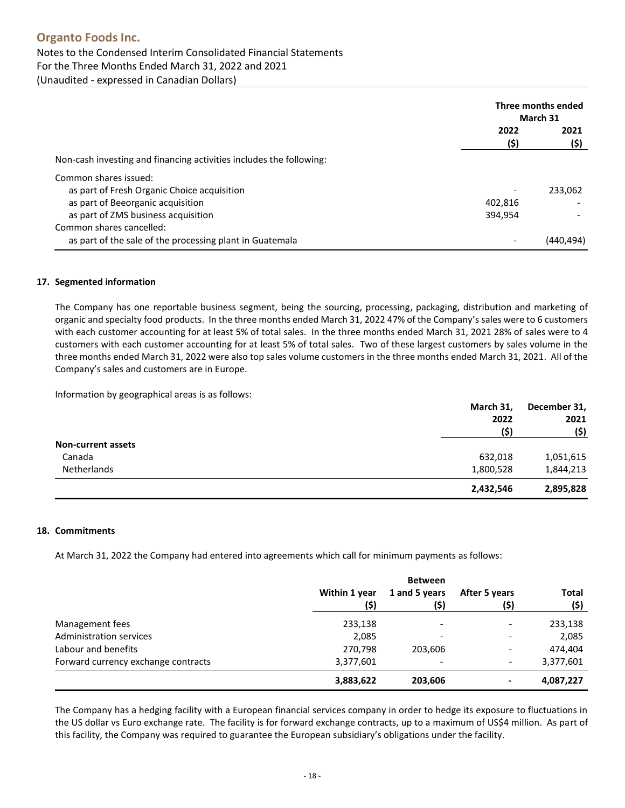## **Organto Foods Inc.** Notes to the Condensed Interim Consolidated Financial Statements For the Three Months Ended March 31, 2022 and 2021 (Unaudited - expressed in Canadian Dollars)

|                                                                     | Three months ended<br>March 31 |              |
|---------------------------------------------------------------------|--------------------------------|--------------|
|                                                                     | 2022<br>(\$)                   | 2021<br>(\$) |
| Non-cash investing and financing activities includes the following: |                                |              |
| Common shares issued:                                               |                                |              |
| as part of Fresh Organic Choice acquisition                         |                                | 233,062      |
| as part of Beeorganic acquisition                                   | 402.816                        |              |
| as part of ZMS business acquisition                                 | 394,954                        |              |
| Common shares cancelled:                                            |                                |              |
| as part of the sale of the processing plant in Guatemala            |                                | (440.494)    |

#### **17. Segmented information**

The Company has one reportable business segment, being the sourcing, processing, packaging, distribution and marketing of organic and specialty food products. In the three months ended March 31, 2022 47% of the Company's sales were to 6 customers with each customer accounting for at least 5% of total sales. In the three months ended March 31, 2021 28% of sales were to 4 customers with each customer accounting for at least 5% of total sales. Two of these largest customers by sales volume in the three months ended March 31, 2022 were also top sales volume customers in the three months ended March 31, 2021. All of the Company's sales and customers are in Europe.

Information by geographical areas is as follows:

|                           | March 31, | December 31,<br>2021 |
|---------------------------|-----------|----------------------|
|                           | 2022      |                      |
|                           | (\$)      | (\$)                 |
| <b>Non-current assets</b> |           |                      |
| Canada                    | 632,018   | 1,051,615            |
| Netherlands               | 1,800,528 | 1,844,213            |
|                           | 2,432,546 | 2,895,828            |

#### <span id="page-17-0"></span>**18. [Commitments](#page-1-0)**

At March 31, 2022 the Company had entered into agreements which call for minimum payments as follows:

|                                     | <b>Between</b> |                          |               |              |
|-------------------------------------|----------------|--------------------------|---------------|--------------|
|                                     | Within 1 year  | 1 and 5 years            | After 5 years | <b>Total</b> |
|                                     | (\$)           | (\$)                     | (\$)          | (\$)         |
| Management fees                     | 233,138        | $\overline{\phantom{a}}$ | -             | 233,138      |
| <b>Administration services</b>      | 2,085          | $\overline{\phantom{a}}$ |               | 2,085        |
| Labour and benefits                 | 270,798        | 203,606                  | -             | 474,404      |
| Forward currency exchange contracts | 3,377,601      | $\overline{\phantom{a}}$ | ٠             | 3,377,601    |
|                                     | 3,883,622      | 203,606                  | ۰             | 4,087,227    |

<span id="page-17-1"></span>The Company has a hedging facility with a European financial services company in order to hedge its exposure to fluctuations in the US dollar vs Euro exchange rate. The facility is for forward exchange contracts, up to a maximum of US\$4 million. As part of this facility, the Company was required to guarantee the European subsidiary's obligations under the facility.